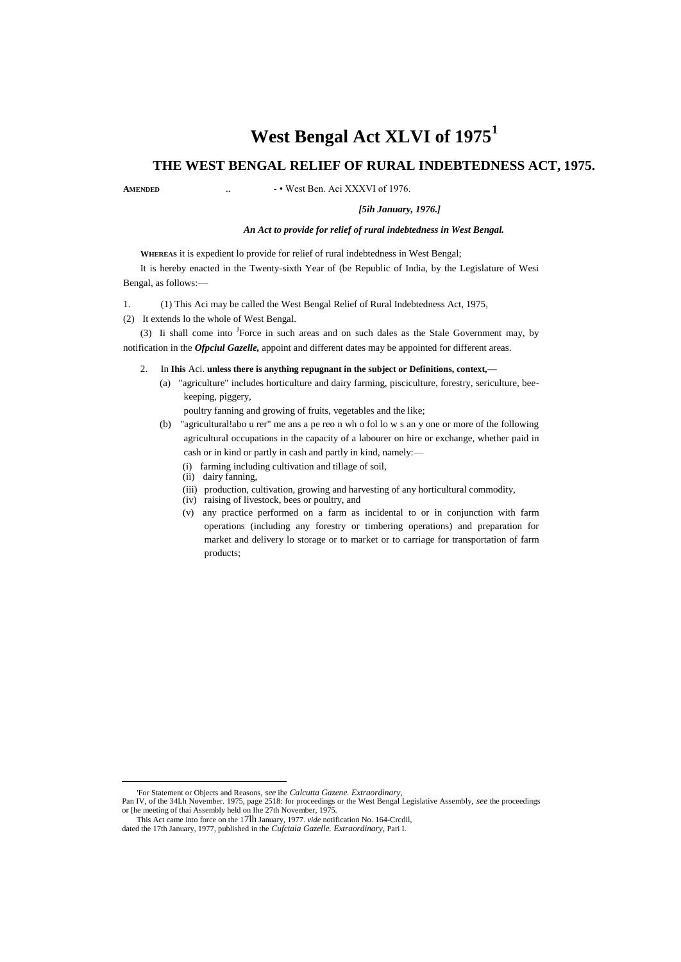# **West Bengal Act XLVI of 1975<sup>1</sup>**

### **THE WEST BENGAL RELIEF OF RURAL INDEBTEDNESS ACT, 1975.**

 $\overline{a}$ 

AMENDED .. - • West Ben. Aci XXXVI of 1976.

#### *[5ih January, 1976.]*

#### *An Act to provide for relief of rural indebtedness in West Bengal.*

WHEREAS it is expedient lo provide for relief of rural indebtedness in West Bengal;

It is hereby enacted in the Twenty-sixth Year of (be Republic of India, by the Legislature of Wesi Bengal, as follows:—

1. (1) This Aci may be called the West Bengal Relief of Rural Indebtedness Act, 1975,

(2) It extends lo the whole of West Bengal.

(3) Ii shall come into <sup>J</sup>Force in such areas and on such dales as the Stale Government may, by notification in the *Ofpciul Gazelle,* appoint and different dates may be appointed for different areas.

- 2. In **Ihis** Aci. **unless there is anything repugnant in the subject or Definitions, context,—**
	- (a) "agriculture" includes horticulture and dairy farming, pisciculture, forestry, sericulture, beekeeping, piggery,

poultry fanning and growing of fruits, vegetables and the like;

- (b) "agricultural!abo u rer" me ans a pe reo n wh o fol lo w s an y one or more of the following agricultural occupations in the capacity of a labourer on hire or exchange, whether paid in cash or in kind or partly in cash and partly in kind, namely:—
	- (i) farming including cultivation and tillage of soil,
	- (ii) dairy fanning,
	- (iii) production, cultivation, growing and harvesting of any horticultural commodity,
	- (iv) raising of livestock, bees or poultry, and
	- (v) any practice performed on a farm as incidental to or in conjunction with farm operations (including any forestry or timbering operations) and preparation for market and delivery lo storage or to market or to carriage for transportation of farm products;

This Act came into force on the 17lh January, 1977. *vide* notification No. 164-Crcdil, dated the 17th January, 1977, published in the *Cufctaia Gazelle. Extraordinary,* Pari I.

<sup>&#</sup>x27;For Statement or Objects and Reasons, *see* ihe *Calcutta Gazene. Extraordinary,*

Pan IV, of the 34Lh November. 1975, page 2518: for proceedings or the West Bengal Legislative Assembly, *see* the proceedings or [he meeting of thai Assembly held on Ihe 27th November, 1975.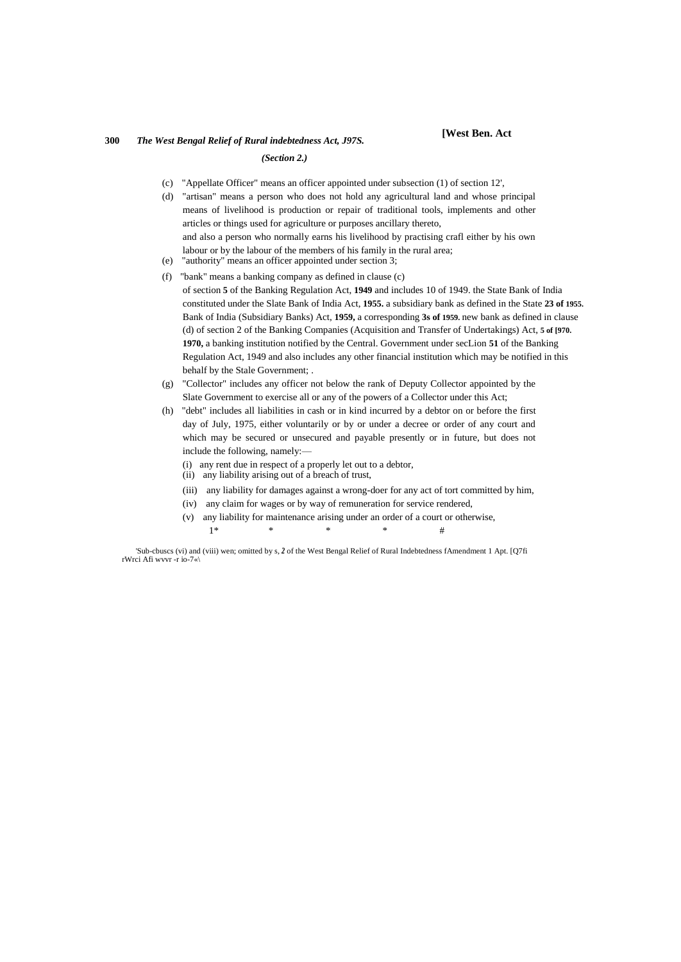#### **[West Ben. Act**

#### **300** *The West Bengal Relief of Rural indebtedness Act, J97S. (Section 2.)*

- (c) "Appellate Officer" means an officer appointed under subsection (1) of section 12',
- (d) "artisan" means a person who does not hold any agricultural land and whose principal means of livelihood is production or repair of traditional tools, implements and other articles or things used for agriculture or purposes ancillary thereto, and also a person who normally earns his livelihood by practising crafl either by his own labour or by the labour of the members of his family in the rural area;
- (e) "authority" means an officer appointed under section 3;
- (f) "bank" means a banking company as defined in clause (c) of section **5** of the Banking Regulation Act, **1949** and includes 10 of 1949. the State Bank of India constituted under the Slate Bank of India Act, **1955.** a subsidiary bank as defined in the State **23 of 1955.**  Bank of India (Subsidiary Banks) Act, **1959,** a corresponding **3s of 1959.** new bank as defined in clause (d) of section 2 of the Banking Companies (Acquisition and Transfer of Undertakings) Act, **5 of [970. 1970,** a banking institution notified by the Central. Government under secLion **51** of the Banking Regulation Act, 1949 and also includes any other financial institution which may be notified in this behalf by the Stale Government; .
- (g) "Collector" includes any officer not below the rank of Deputy Collector appointed by the Slate Government to exercise all or any of the powers of a Collector under this Act;
- (h) "debt" includes all liabilities in cash or in kind incurred by a debtor on or before the first day of July, 1975, either voluntarily or by or under a decree or order of any court and which may be secured or unsecured and payable presently or in future, but does not include the following, namely:—
	- (i) any rent due in respect of a properly let out to a debtor,
	- (ii) any liability arising out of a breach of trust,
	- (iii) any liability for damages against a wrong-doer for any act of tort committed by him,
	- (iv) any claim for wages or by way of remuneration for service rendered,
	- (v) any liability for maintenance arising under an order of a court or otherwise,  $1*$  \* \* \*  $\qquad$  \*

'Sub-cbuscs (vi) and (viii) wen; omitted by s, *2* of the West Bengal Relief of Rural Indebtedness fAmendment 1 Apt. [Q7fi rWrci Afi wvvr -r io-7«\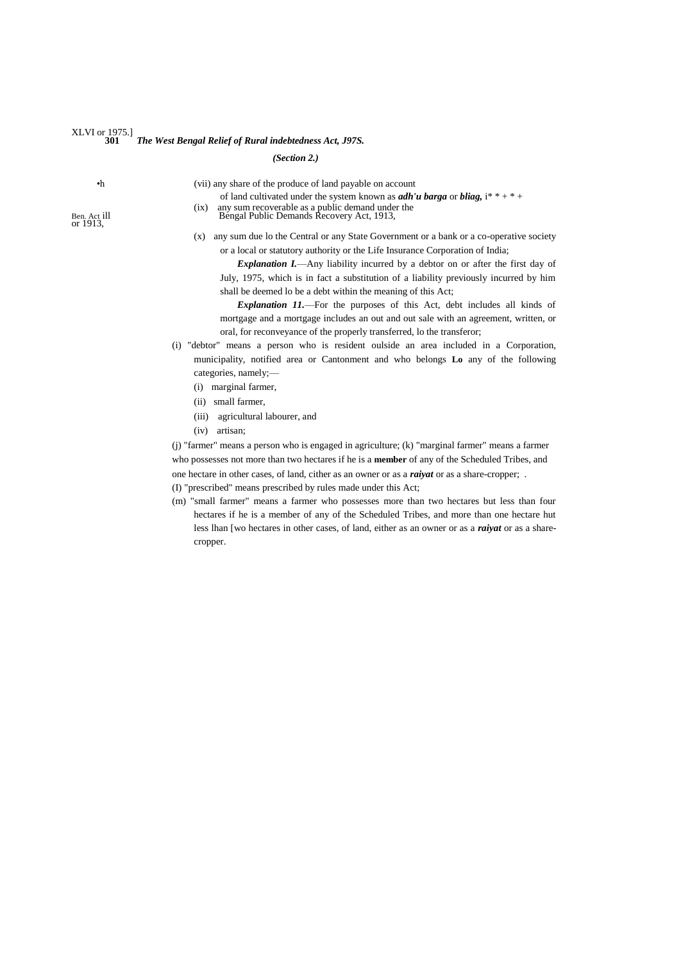## **301** *The West Bengal Relief of Rural indebtedness Act, J97S.* XLVI or 1975.]

#### *(Section 2.)*

Ben. Act ill<br>or 1913,

- •h (vii) any share of the produce of land payable on account
	- of land cultivated under the system known as *adh'u barga* or *bliag*,  $i^* * + * +$
- (ix) any sum recoverable as a public demand under the Ben. Act ill Bengal Public Demands Recovery Act, 1913,
	-
	- (x) any sum due lo the Central or any State Government or a bank or a co-operative society or a local or statutory authority or the Life Insurance Corporation of India;

*Explanation I.*—Any liability incurred by a debtor on or after the first day of July, 1975, which is in fact a substitution of a liability previously incurred by him shall be deemed lo be a debt within the meaning of this Act;

*Explanation 11.*—For the purposes of this Act, debt includes all kinds of mortgage and a mortgage includes an out and out sale with an agreement, written, or oral, for reconveyance of the properly transferred, lo the transferor;

- (i) "debtor" means a person who is resident oulside an area included in a Corporation, municipality, notified area or Cantonment and who belongs **Lo** any of the following categories, namely;—
	- (i) marginal farmer,
	- (ii) small farmer,
	- (iii) agricultural labourer, and
	- (iv) artisan;

(j) "farmer" means a person who is engaged in agriculture; (k) "marginal farmer" means a farmer who possesses not more than two hectares if he is a **member** of any of the Scheduled Tribes, and one hectare in other cases, of land, cither as an owner or as a *raiyat* or as a share-cropper; .

- (I) "prescribed" means prescribed by rules made under this Act;
- (m) "small farmer" means a farmer who possesses more than two hectares but less than four hectares if he is a member of any of the Scheduled Tribes, and more than one hectare hut less lhan [wo hectares in other cases, of land, either as an owner or as a *raiyat* or as a sharecropper.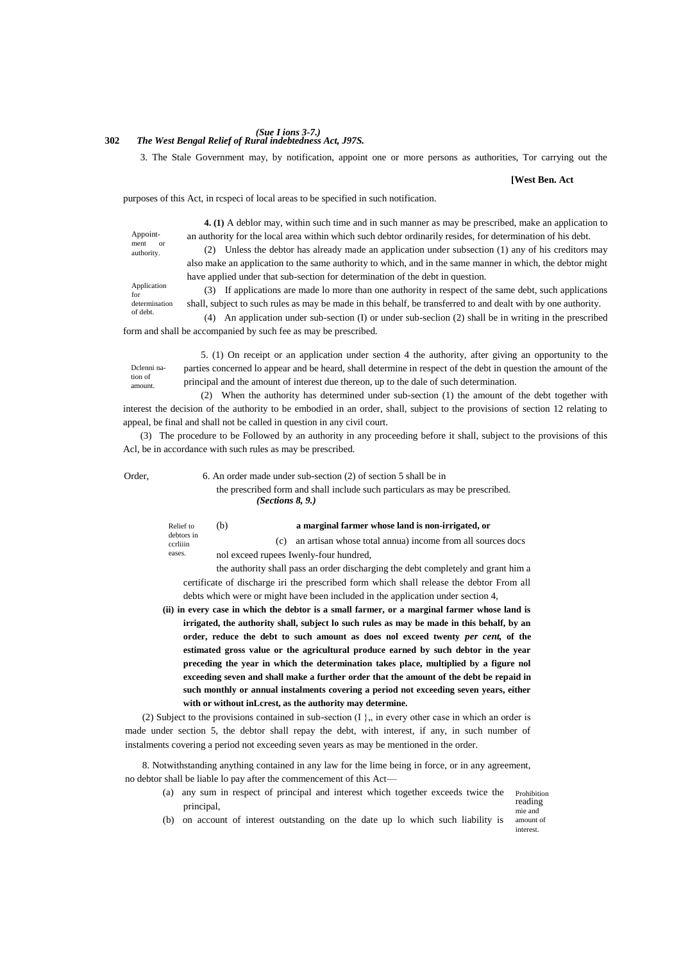### **302** *The West Bengal Relief of Rural indebtedness Act, J97S. (Sue I ions 3-7.)*

3. The Stale Government may, by notification, appoint one or more persons as authorities, Tor carrying out the

#### **[West Ben. Act**

purposes of this Act, in rcspeci of local areas to be specified in such notification.

**4. (1)** A deblor may, within such time and in such manner as may be prescribed, make an application to an authority for the local area within which such debtor ordinarily resides, for determination of his debt. (2) Unless the debtor has already made an application under subsection (1) any of his creditors may

also make an application to the same authority to which, and in the same manner in which, the debtor might have applied under that sub-section for determination of the debt in question.

Application for determination of debt.

Appointment authority.

> (3) If applications are made lo more than one authority in respect of the same debt, such applications shall, subject to such rules as may be made in this behalf, be transferred to and dealt with by one authority.

(4) An application under sub-section (I) or under sub-seclion (2) shall be in writing in the prescribed form and shall be accompanied by such fee as may be prescribed.

Dclenni nation of amount.

5. (1) On receipt or an application under section 4 the authority, after giving an opportunity to the parties concerned lo appear and be heard, shall determine in respect of the debt in question the amount of the principal and the amount of interest due thereon, up to the dale of such determination.

(2) When the authority has determined under sub-section (1) the amount of the debt together with interest the decision of the authority to be embodied in an order, shall, subject to the provisions of section 12 relating to appeal, be final and shall not be called in question in any civil court.

(3) The procedure to be Followed by an authority in any proceeding before it shall, subject to the provisions of this Acl, be in accordance with such rules as may be prescribed.

#### Order, 6. An order made under sub-section (2) of section 5 shall be in the prescribed form and shall include such particulars as may be prescribed. *(Sections 8, 9.)*

Relief to debtors in ccrliiin eases. (b) **a marginal farmer whose land is non-irrigated, or** (c) an artisan whose total annua) income from all sources docs nol exceed rupees Iwenly-four hundred, the authority shall pass an order discharging the debt completely and grant him a

certificate of discharge iri the prescribed form which shall release the debtor From all debts which were or might have been included in the application under section 4,

**(ii) in every case in which the debtor is a small farmer, or a marginal farmer whose land is irrigated, the authority shall, subject lo such rules as may be made in this behalf, by an order, reduce the debt to such amount as does nol exceed twenty** *per cent,* **of the estimated gross value or the agricultural produce earned by such debtor in the year preceding the year in which the determination takes place, multiplied by a figure nol exceeding seven and shall make a further order that the amount of the debt be repaid in such monthly or annual instalments covering a period not exceeding seven years, either with or without inLcrest, as the authority may determine.**

(2) Subject to the provisions contained in sub-section  $(I)$ , in every other case in which an order is made under section 5, the debtor shall repay the debt, with interest, if any, in such number of instalments covering a period not exceeding seven years as may be mentioned in the order.

8. Notwithstanding anything contained in any law for the lime being in force, or in any agreement, no debtor shall be liable lo pay after the commencement of this Act—

(a) any sum in respect of principal and interest which together exceeds twice the principal,

Prohibition reading mie and amount of interest.

(b) on account of interest outstanding on the date up lo which such liability is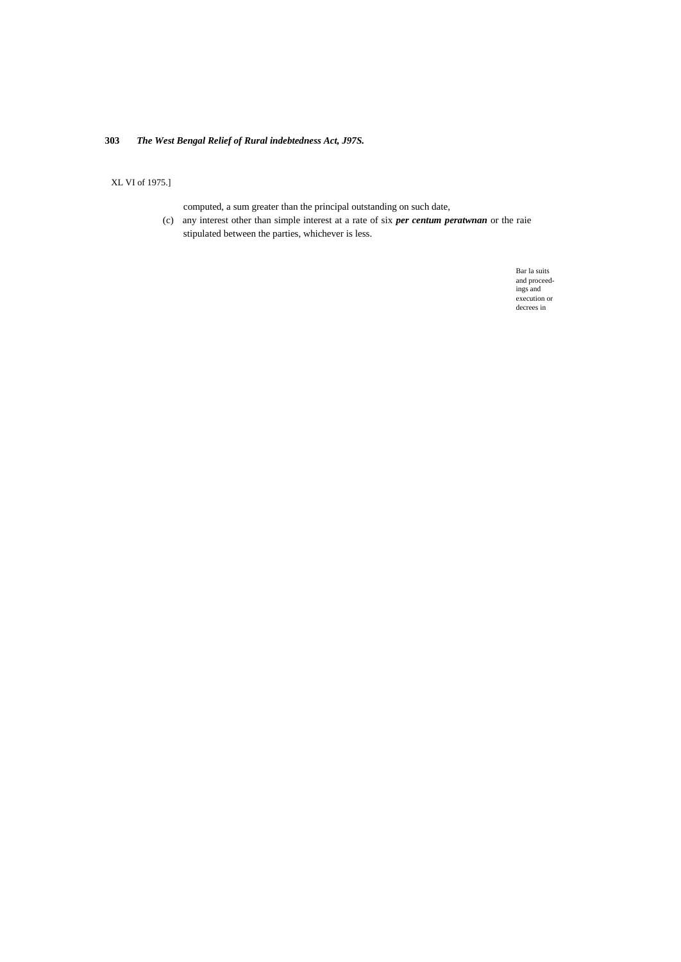#### **303** *The West Bengal Relief of Rural indebtedness Act, J97S.*

#### XL VI of 1975.]

computed, a sum greater than the principal outstanding on such date,

(c) any interest other than simple interest at a rate of six *per centum peratwnan* or the raie stipulated between the parties, whichever is less.

> Bar la suits and proceed-ings and execution or decrees in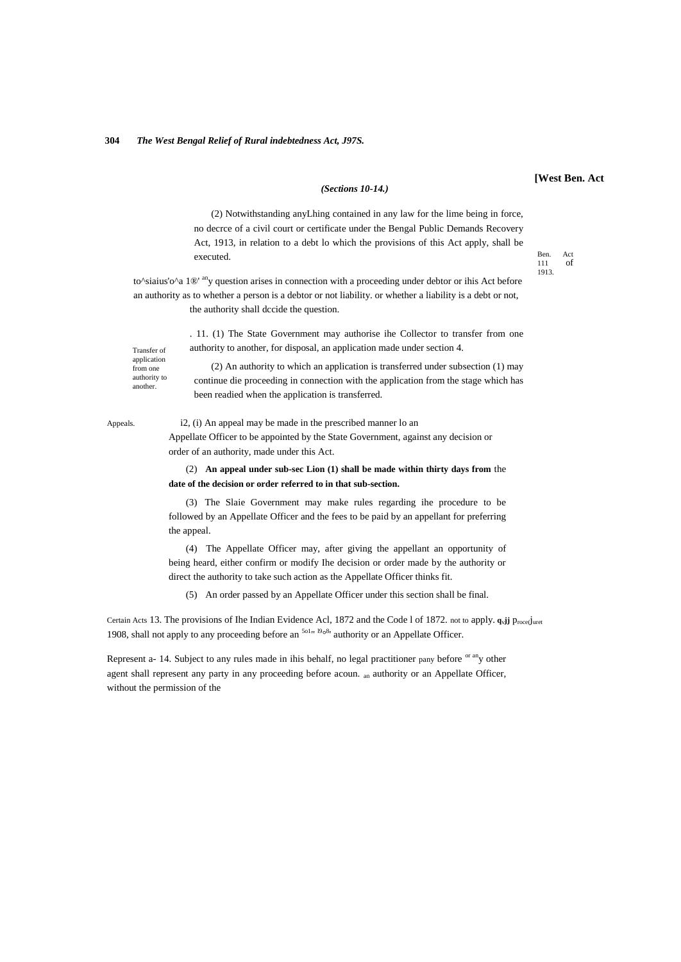#### **304** *The West Bengal Relief of Rural indebtedness Act, J97S.*

#### *(Sections 10-14.)*

(2) Notwithstanding anyLhing contained in any law for the lime being in force, no decrce of a civil court or certificate under the Bengal Public Demands Recovery Act, 1913, in relation to a debt lo which the provisions of this Act apply, shall be executed.

to^siaius'o^a 1<sup>®' an</sup>y question arises in connection with a proceeding under debtor or ihis Act before an authority as to whether a person is a debtor or not liability. or whether a liability is a debt or not, the authority shall dccide the question.

> . 11. (1) The State Government may authorise ihe Collector to transfer from one authority to another, for disposal, an application made under section 4.

Transfer of application from one authority to another.

(2) An authority to which an application is transferred under subsection (1) may continue die proceeding in connection with the application from the stage which has been readied when the application is transferred.

Appeals. i2, (i) An appeal may be made in the prescribed manner lo an

Appellate Officer to be appointed by the State Government, against any decision or order of an authority, made under this Act.

(2) **An appeal under sub-sec Lion (1) shall be made within thirty days from** the **date of the decision or order referred to in that sub-section.**

(3) The Slaie Government may make rules regarding ihe procedure to be followed by an Appellate Officer and the fees to be paid by an appellant for preferring the appeal.

(4) The Appellate Officer may, after giving the appellant an opportunity of being heard, either confirm or modify Ihe decision or order made by the authority or direct the authority to take such action as the Appellate Officer thinks fit.

(5) An order passed by an Appellate Officer under this section shall be final.

Certain Acts 13. The provisions of Ihe Indian Evidence Acl, 1872 and the Code l of 1872. not to apply. **q**v**jj** proce(juret 1908, shall not apply to any proceeding before an  $501<sub>n</sub>$  19 $08<sub>n</sub>$  authority or an Appellate Officer.

Represent a- 14. Subject to any rules made in ihis behalf, no legal practitioner pany before  $\alpha$  any other agent shall represent any party in any proceeding before acoun. <sub>an</sub> authority or an Appellate Officer, without the permission of the

#### **[West Ben. Act**

Ben. Act<br>111 of  $111$ 1913.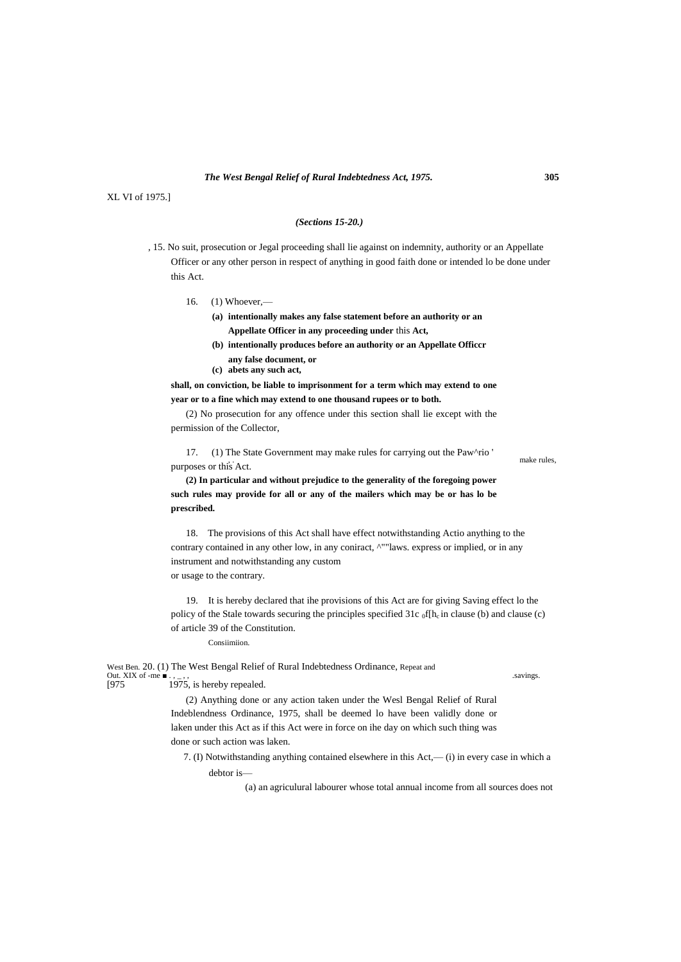XL VI of 1975.]

#### *(Sections 15-20.)*

- , 15. No suit, prosecution or Jegal proceeding shall lie against on indemnity, authority or an Appellate Officer or any other person in respect of anything in good faith done or intended lo be done under this Act.
	- 16. (1) Whoever,—
		- **(a) intentionally makes any false statement before an authority or an Appellate Officer in any proceeding under** this **Act,**
		- **(b) intentionally produces before an authority or an Appellate Officcr any false document, or**
		- **(c) abets any such act,**

**shall, on conviction, be liable to imprisonment for a term which may extend to one year or to a fine which may extend to one thousand rupees or to both.**

(2) No prosecution for any offence under this section shall lie except with the permission of the Collector,

17. (1) The State Government may make rules for carrying out the Paw^rio ' , and the contract of the contract of the contract of the contract of the contract of the contract of the contract of the contract of the contract of the contract of the contract of the contract of the contract of the cont purposes or this Act.

**(2) In particular and without prejudice to the generality of the foregoing power such rules may provide for all or any of the mailers which may be or has lo be prescribed.**

18. The provisions of this Act shall have effect notwithstanding Actio anything to the contrary contained in any other low, in any coniract,  $\wedge$ ""laws. express or implied, or in any instrument and notwithstanding any custom or usage to the contrary.

19. It is hereby declared that ihe provisions of this Act are for giving Saving effect lo the policy of the Stale towards securing the principles specified 31c  $_0$ f[h<sub>c</sub> in clause (b) and clause (c) of article 39 of the Constitution.

Consiimiion.

West Ben. 20. (1) The West Bengal Relief of Rural Indebtedness Ordinance, Repeat and Out. XIX of -me ■ . , \_ , , .savings.  $1975$ , is hereby repealed.

> (2) Anything done or any action taken under the Wesl Bengal Relief of Rural Indeblendness Ordinance, 1975, shall be deemed lo have been validly done or laken under this Act as if this Act were in force on ihe day on which such thing was done or such action was laken.

7. (I) Notwithstanding anything contained elsewhere in this Act,— (i) in every case in which a debtor is—

(a) an agriculural labourer whose total annual income from all sources does not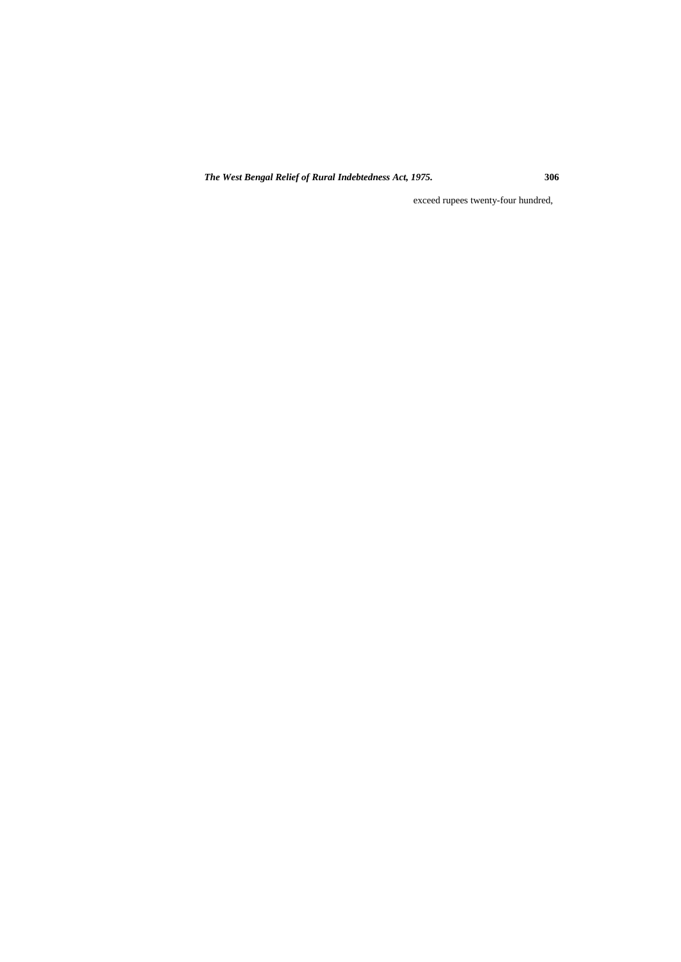*The West Bengal Relief of Rural Indebtedness Act, 1975.* **306**

exceed rupees twenty-four hundred,